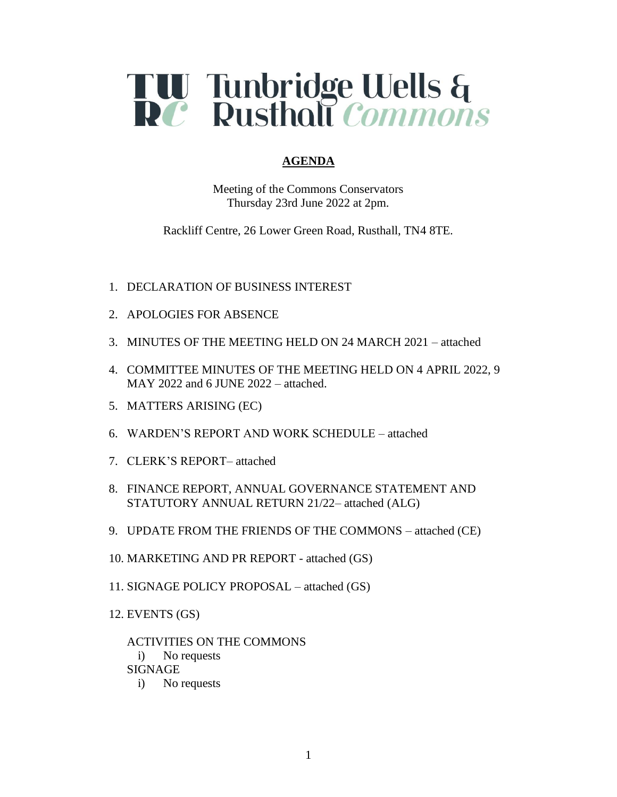

## **AGENDA**

Meeting of the Commons Conservators Thursday 23rd June 2022 at 2pm.

Rackliff Centre, 26 Lower Green Road, Rusthall, TN4 8TE.

- 1. DECLARATION OF BUSINESS INTEREST
- 2. APOLOGIES FOR ABSENCE
- 3. MINUTES OF THE MEETING HELD ON 24 MARCH 2021 attached
- 4. COMMITTEE MINUTES OF THE MEETING HELD ON 4 APRIL 2022, 9 MAY 2022 and 6 JUNE 2022 – attached.
- 5. MATTERS ARISING (EC)
- 6. WARDEN'S REPORT AND WORK SCHEDULE attached
- 7. CLERK'S REPORT– attached
- 8. FINANCE REPORT, ANNUAL GOVERNANCE STATEMENT AND STATUTORY ANNUAL RETURN 21/22– attached (ALG)
- 9. UPDATE FROM THE FRIENDS OF THE COMMONS attached (CE)
- 10. MARKETING AND PR REPORT attached (GS)
- 11. SIGNAGE POLICY PROPOSAL attached (GS)
- 12. EVENTS (GS)

ACTIVITIES ON THE COMMONS i) No requests SIGNAGE i) No requests